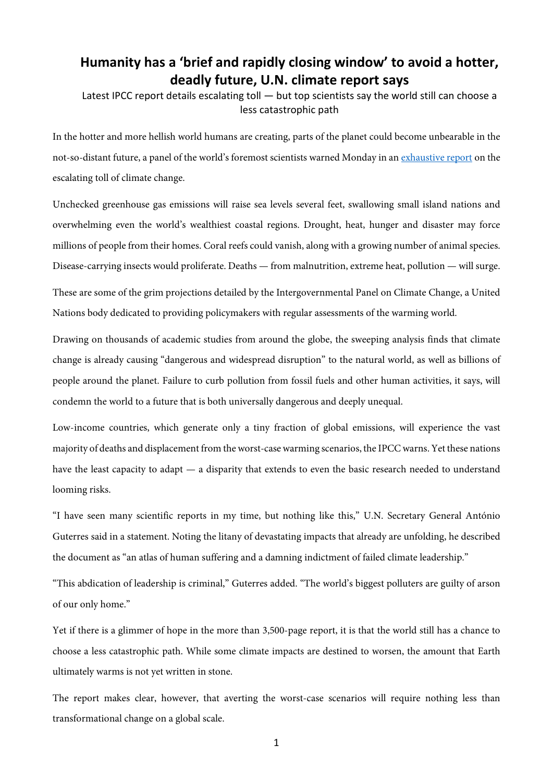## **Humanity has a 'brief and rapidly closing window' to avoid a hotter, deadly future, U.N. climate report says**

Latest IPCC report details escalating toll - but top scientists say the world still can choose a less catastrophic path

In the hotter and more hellish world humans are creating, parts of the planet could become unbearable in the not-so-distant future, a panel of the world's foremost scientists warned Monday in an [exhaustive report](https://report.ipcc.ch/ar6wg2/pdf/IPCC_AR6_WGII_FinalDraft_FullReport.pdf) on the escalating toll of climate change.

Unchecked greenhouse gas emissions will raise sea levels several feet, swallowing small island nations and overwhelming even the world's wealthiest coastal regions. Drought, heat, hunger and disaster may force millions of people from their homes. Coral reefs could vanish, along with a growing number of animal species. Disease-carrying insects would proliferate. Deaths — from malnutrition, extreme heat, pollution — will surge.

These are some of the grim projections detailed by the Intergovernmental Panel on Climate Change, a United Nations body dedicated to providing policymakers with regular assessments of the warming world.

Drawing on thousands of academic studies from around the globe, the sweeping analysis finds that climate change is already causing "dangerous and widespread disruption" to the natural world, as well as billions of people around the planet. Failure to curb pollution from fossil fuels and other human activities, it says, will condemn the world to a future that is both universally dangerous and deeply unequal.

Low-income countries, which generate only a tiny fraction of global emissions, will experience the vast majority of deaths and displacement from the worst-case warming scenarios, the IPCC warns. Yet these nations have the least capacity to adapt — a disparity that extends to even the basic research needed to understand looming risks.

"I have seen many scientific reports in my time, but nothing like this," U.N. Secretary General António Guterres said in a statement. Noting the litany of devastating impacts that already are unfolding, he described the document as "an atlas of human suffering and a damning indictment of failed climate leadership."

"This abdication of leadership is criminal," Guterres added. "The world's biggest polluters are guilty of arson of our only home."

Yet if there is a glimmer of hope in the more than 3,500-page report, it is that the world still has a chance to choose a less catastrophic path. While some climate impacts are destined to worsen, the amount that Earth ultimately warms is not yet written in stone.

The report makes clear, however, that averting the worst-case scenarios will require nothing less than transformational change on a global scale.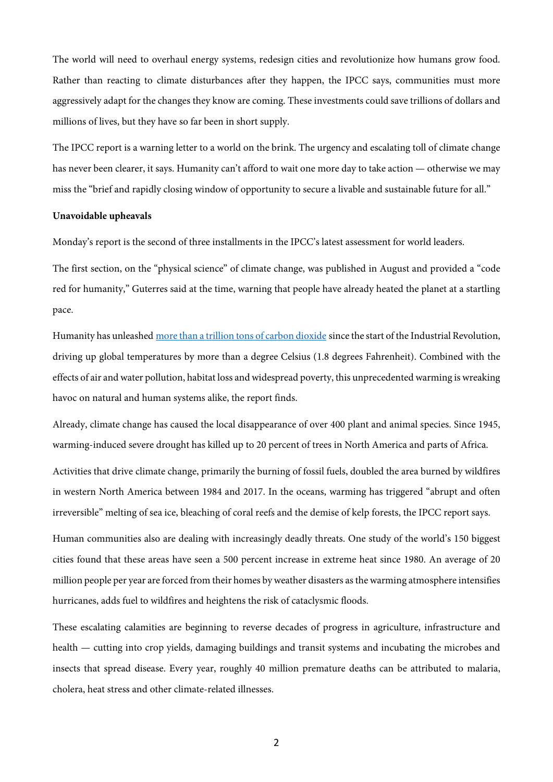The world will need to overhaul energy systems, redesign cities and revolutionize how humans grow food. Rather than reacting to climate disturbances after they happen, the IPCC says, communities must more aggressively adapt for the changes they know are coming. These investments could save trillions of dollars and millions of lives, but they have so far been in short supply.

The IPCC report is a warning letter to a world on the brink. The urgency and escalating toll of climate change has never been clearer, it says. Humanity can't afford to wait one more day to take action — otherwise we may miss the "brief and rapidly closing window of opportunity to secure a livable and sustainable future for all."

## **Unavoidable upheavals**

Monday's report is the second of three installments in the IPCC's latest assessment for world leaders.

The first section, on the "physical science" of climate change, was published in August and provided a "code red for humanity," Guterres said at the time, warning that people have already heated the planet at a startling pace.

Humanity has unleashed [more than a trillion tons of carbon dioxide](https://ieep.eu/news/more-than-half-of-all-co2-emissions-since-1751-emitted-in-the-last-30-years) since the start of the Industrial Revolution, driving up global temperatures by more than a degree Celsius (1.8 degrees Fahrenheit). Combined with the effects of air and water pollution, habitat loss and widespread poverty, this unprecedented warming is wreaking havoc on natural and human systems alike, the report finds.

Already, climate change has caused the local disappearance of over 400 plant and animal species. Since 1945, warming-induced severe drought has killed up to 20 percent of trees in North America and parts of Africa.

Activities that drive climate change, primarily the burning of fossil fuels, doubled the area burned by wildfires in western North America between 1984 and 2017. In the oceans, warming has triggered "abrupt and often irreversible" melting of sea ice, bleaching of coral reefs and the demise of kelp forests, the IPCC report says.

Human communities also are dealing with increasingly deadly threats. One study of the world's 150 biggest cities found that these areas have seen a 500 percent increase in extreme heat since 1980. An average of 20 million people per year are forced from their homes by weather disasters as the warming atmosphere intensifies hurricanes, adds fuel to wildfires and heightens the risk of cataclysmic floods.

These escalating calamities are beginning to reverse decades of progress in agriculture, infrastructure and health — cutting into crop yields, damaging buildings and transit systems and incubating the microbes and insects that spread disease. Every year, roughly 40 million premature deaths can be attributed to malaria, cholera, heat stress and other climate-related illnesses.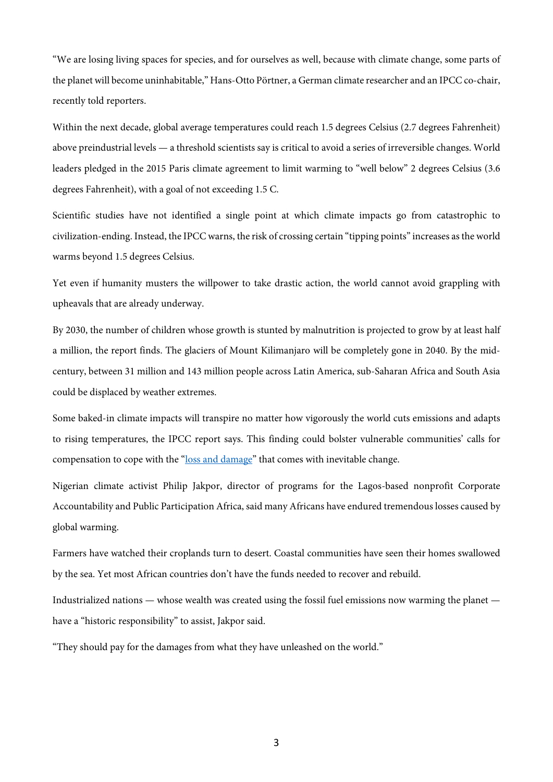"We are losing living spaces for species, and for ourselves as well, because with climate change, some parts of the planet will become uninhabitable," Hans-Otto Pörtner, a German climate researcher and an IPCC co-chair, recently told reporters.

Within the next decade, global average temperatures could reach 1.5 degrees Celsius (2.7 degrees Fahrenheit) above preindustrial levels — a threshold scientists say is critical to avoid a series of irreversible changes. World leaders pledged in the 2015 Paris climate agreement to limit warming to "well below" 2 degrees Celsius (3.6 degrees Fahrenheit), with a goal of not exceeding 1.5 C.

Scientific studies have not identified a single point at which climate impacts go from catastrophic to civilization-ending. Instead, the IPCC warns, the risk of crossing certain "tipping points" increases as the world warms beyond 1.5 degrees Celsius.

Yet even if humanity musters the willpower to take drastic action, the world cannot avoid grappling with upheavals that are already underway.

By 2030, the number of children whose growth is stunted by malnutrition is projected to grow by at least half a million, the report finds. The glaciers of Mount Kilimanjaro will be completely gone in 2040. By the midcentury, between 31 million and 143 million people across Latin America, sub-Saharan Africa and South Asia could be displaced by weather extremes.

Some baked-in climate impacts will transpire no matter how vigorously the world cuts emissions and adapts to rising temperatures, the IPCC report says. This finding could bolster vulnerable communities' calls for compensation to cope with the ["loss and damage"](https://www.washingtonpost.com/climate-environment/2021/11/08/climate-change-loss-adaptation-cop26/?itid=lk_inline_manual_43) that comes with inevitable change.

Nigerian climate activist Philip Jakpor, director of programs for the Lagos-based nonprofit Corporate Accountability and Public Participation Africa, said many Africans have endured tremendous losses caused by global warming.

Farmers have watched their croplands turn to desert. Coastal communities have seen their homes swallowed by the sea. Yet most African countries don't have the funds needed to recover and rebuild.

Industrialized nations — whose wealth was created using the fossil fuel emissions now warming the planet have a "historic responsibility" to assist, Jakpor said.

"They should pay for the damages from what they have unleashed on the world."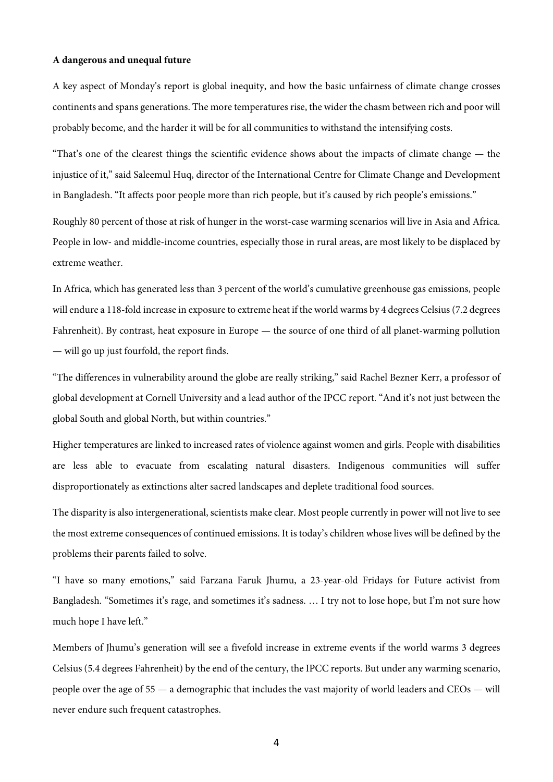## **A dangerous and unequal future**

A key aspect of Monday's report is global inequity, and how the basic unfairness of climate change crosses continents and spans generations. The more temperatures rise, the wider the chasm between rich and poor will probably become, and the harder it will be for all communities to withstand the intensifying costs.

"That's one of the clearest things the scientific evidence shows about the impacts of climate change — the injustice of it," said Saleemul Huq, director of the International Centre for Climate Change and Development in Bangladesh. "It affects poor people more than rich people, but it's caused by rich people's emissions."

Roughly 80 percent of those at risk of hunger in the worst-case warming scenarios will live in Asia and Africa. People in low- and middle-income countries, especially those in rural areas, are most likely to be displaced by extreme weather.

In Africa, which has generated less than 3 percent of the world's cumulative greenhouse gas emissions, people will endure a 118-fold increase in exposure to extreme heat if the world warms by 4 degrees Celsius (7.2 degrees Fahrenheit). By contrast, heat exposure in Europe — the source of one third of all planet-warming pollution — will go up just fourfold, the report finds.

"The differences in vulnerability around the globe are really striking," said Rachel Bezner Kerr, a professor of global development at Cornell University and a lead author of the IPCC report. "And it's not just between the global South and global North, but within countries."

Higher temperatures are linked to increased rates of violence against women and girls. People with disabilities are less able to evacuate from escalating natural disasters. Indigenous communities will suffer disproportionately as extinctions alter sacred landscapes and deplete traditional food sources.

The disparity is also intergenerational, scientists make clear. Most people currently in power will not live to see the most extreme consequences of continued emissions. It is today's children whose lives will be defined by the problems their parents failed to solve.

"I have so many emotions," said Farzana Faruk Jhumu, a 23-year-old Fridays for Future activist from Bangladesh. "Sometimes it's rage, and sometimes it's sadness. … I try not to lose hope, but I'm not sure how much hope I have left."

Members of Jhumu's generation will see a fivefold increase in extreme events if the world warms 3 degrees Celsius (5.4 degrees Fahrenheit) by the end of the century, the IPCC reports. But under any warming scenario, people over the age of 55 — a demographic that includes the vast majority of world leaders and CEOs — will never endure such frequent catastrophes.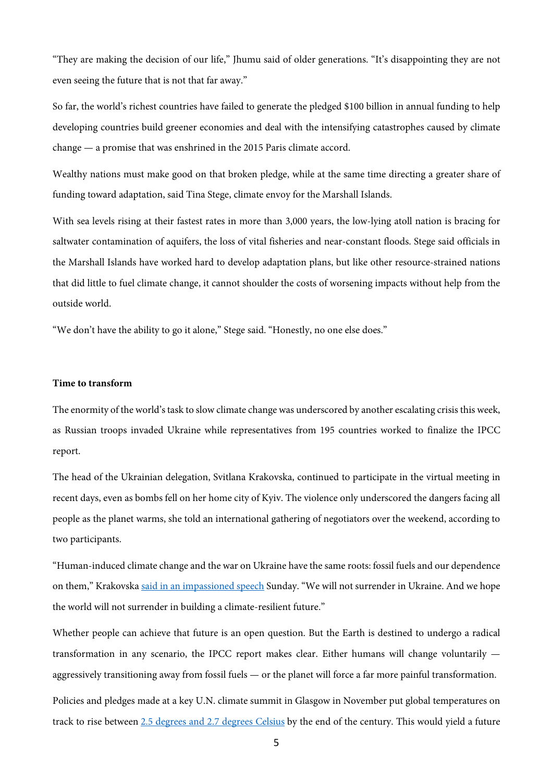"They are making the decision of our life," Jhumu said of older generations. "It's disappointing they are not even seeing the future that is not that far away."

So far, the world's richest countries have failed to generate the pledged \$100 billion in annual funding to help developing countries build greener economies and deal with the intensifying catastrophes caused by climate change — a promise that was enshrined in the 2015 Paris climate accord.

Wealthy nations must make good on that broken pledge, while at the same time directing a greater share of funding toward adaptation, said Tina Stege, climate envoy for the Marshall Islands.

With sea levels rising at their fastest rates in more than 3,000 years, the low-lying atoll nation is bracing for saltwater contamination of aquifers, the loss of vital fisheries and near-constant floods. Stege said officials in the Marshall Islands have worked hard to develop adaptation plans, but like other resource-strained nations that did little to fuel climate change, it cannot shoulder the costs of worsening impacts without help from the outside world.

"We don't have the ability to go it alone," Stege said. "Honestly, no one else does."

## **Time to transform**

The enormity of the world's task to slow climate change was underscored by another escalating crisis this week, as Russian troops invaded Ukraine while representatives from 195 countries worked to finalize the IPCC report.

The head of the Ukrainian delegation, Svitlana Krakovska, continued to participate in the virtual meeting in recent days, even as bombs fell on her home city of Kyiv. The violence only underscored the dangers facing all people as the planet warms, she told an international gathering of negotiators over the weekend, according to two participants.

"Human-induced climate change and the war on Ukraine have the same roots: fossil fuels and our dependence on them," Krakovska [said in an impassioned speech](https://www.washingtonpost.com/climate-environment/2022/02/27/ipcc-russian-apologizes-ukraine-climate/?itid=lk_inline_manual_74) Sunday. "We will not surrender in Ukraine. And we hope the world will not surrender in building a climate-resilient future."

Whether people can achieve that future is an open question. But the Earth is destined to undergo a radical transformation in any scenario, the IPCC report makes clear. Either humans will change voluntarily aggressively transitioning away from fossil fuels — or the planet will force a far more painful transformation.

Policies and pledges made at a key U.N. climate summit in Glasgow in November put global temperatures on track to rise between [2.5 degrees and 2.7 degrees Celsius](https://www.washingtonpost.com/climate-environment/2021/11/09/cop26-un-emissions-gap/?itid=lk_inline_manual_77) by the end of the century. This would yield a future